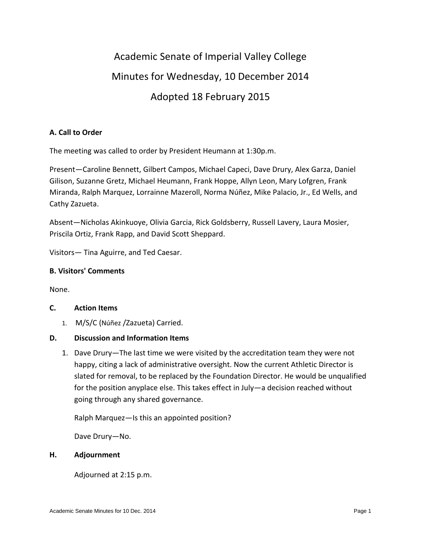# Academic Senate of Imperial Valley College Minutes for Wednesday, 10 December 2014 Adopted 18 February 2015

## **A. Call to Order**

The meeting was called to order by President Heumann at 1:30p.m.

Present—Caroline Bennett, Gilbert Campos, Michael Capeci, Dave Drury, Alex Garza, Daniel Gilison, Suzanne Gretz, Michael Heumann, Frank Hoppe, Allyn Leon, Mary Lofgren, Frank Miranda, Ralph Marquez, Lorrainne Mazeroll, Norma Núñez, Mike Palacio, Jr., Ed Wells, and Cathy Zazueta.

Absent—Nicholas Akinkuoye, Olivia Garcia, Rick Goldsberry, Russell Lavery, Laura Mosier, Priscila Ortiz, Frank Rapp, and David Scott Sheppard.

Visitors— Tina Aguirre, and Ted Caesar.

### **B. Visitors' Comments**

None.

### **C. Action Items**

1. M/S/C (Núñez /Zazueta) Carried.

### **D. Discussion and Information Items**

1. Dave Drury—The last time we were visited by the accreditation team they were not happy, citing a lack of administrative oversight. Now the current Athletic Director is slated for removal, to be replaced by the Foundation Director. He would be unqualified for the position anyplace else. This takes effect in July—a decision reached without going through any shared governance.

Ralph Marquez—Is this an appointed position?

Dave Drury—No.

#### **H. Adjournment**

Adjourned at 2:15 p.m.